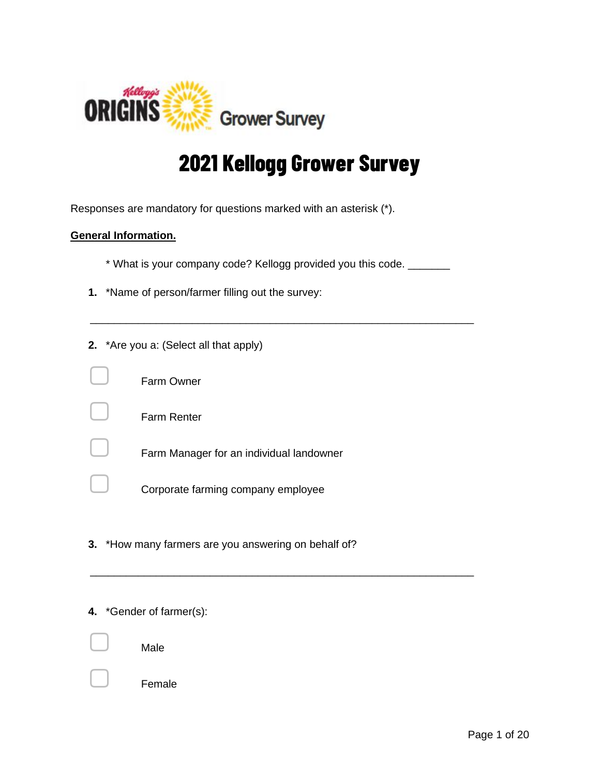

# **2021 Kellogg Grower Survey**

Responses are mandatory for questions marked with an asterisk (\*).

# **General Information.**

\* What is your company code? Kellogg provided you this code. \_\_\_\_\_\_\_

\_\_\_\_\_\_\_\_\_\_\_\_\_\_\_\_\_\_\_\_\_\_\_\_\_\_\_\_\_\_\_\_\_\_\_\_\_\_\_\_\_\_\_\_\_\_\_\_\_\_\_\_\_\_\_\_\_\_\_\_\_\_\_\_

\_\_\_\_\_\_\_\_\_\_\_\_\_\_\_\_\_\_\_\_\_\_\_\_\_\_\_\_\_\_\_\_\_\_\_\_\_\_\_\_\_\_\_\_\_\_\_\_\_\_\_\_\_\_\_\_\_\_\_\_\_\_\_\_

**1.** \*Name of person/farmer filling out the survey:

|  | <b>2.</b> *Are you a: (Select all that apply) |
|--|-----------------------------------------------|
|  | Farm Owner                                    |
|  | <b>Farm Renter</b>                            |
|  | Farm Manager for an individual landowner      |
|  | Corporate farming company employee            |

**3.** \*How many farmers are you answering on behalf of?

# **4.** \*Gender of farmer(s):



Male

**Female** 

Page 1 of 20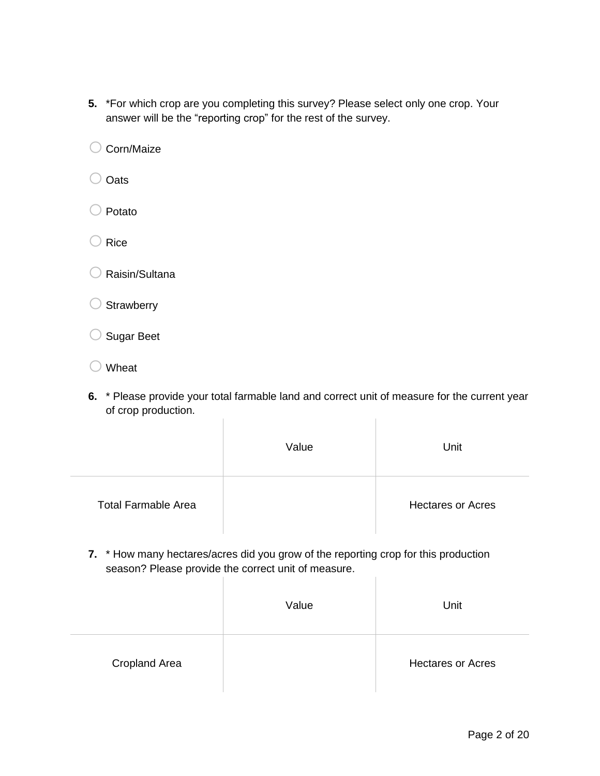**5.** \*For which crop are you completing this survey? Please select only one crop. Your answer will be the "reporting crop" for the rest of the survey.

 $\bigcirc$  Corn/Maize

O Oats

 $\bigcirc$  Potato

 $\bigcirc$  Rice

 $\bigcirc$  Raisin/Sultana

 $\bigcirc$  Strawberry

o Sugar Beet

- $\bigcirc$  Wheat
- **6.** \* Please provide your total farmable land and correct unit of measure for the current year of crop production.  $\overline{1}$  $\mathbf{r}$

|                            | Value | Unit                     |
|----------------------------|-------|--------------------------|
| <b>Total Farmable Area</b> |       | <b>Hectares or Acres</b> |

**7.** \* How many hectares/acres did you grow of the reporting crop for this production season? Please provide the correct unit of measure.  $\begin{array}{c} \hline \end{array}$ 

|                      | Value | Unit                     |
|----------------------|-------|--------------------------|
| <b>Cropland Area</b> |       | <b>Hectares or Acres</b> |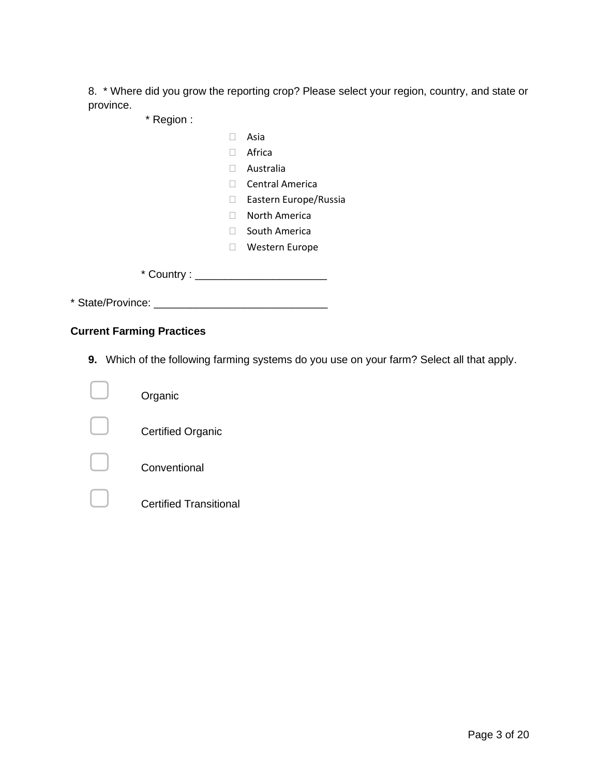8. \* Where did you grow the reporting crop? Please select your region, country, and state or province.

\* Region :

- Asia
- Africa
- Australia
- □ Central America
- □ Eastern Europe/Russia
- North America
- □ South America
- Western Europe

\* Country : \_\_\_\_\_\_\_\_\_\_\_\_\_\_\_\_\_\_\_\_\_\_

\* State/Province: \_\_\_\_\_\_\_\_\_\_\_\_\_\_\_\_\_\_\_\_\_\_\_\_\_\_\_\_\_

# **Current Farming Practices**

**9.** Which of the following farming systems do you use on your farm? Select all that apply.

| Organic                       |
|-------------------------------|
| <b>Certified Organic</b>      |
| Conventional                  |
| <b>Certified Transitional</b> |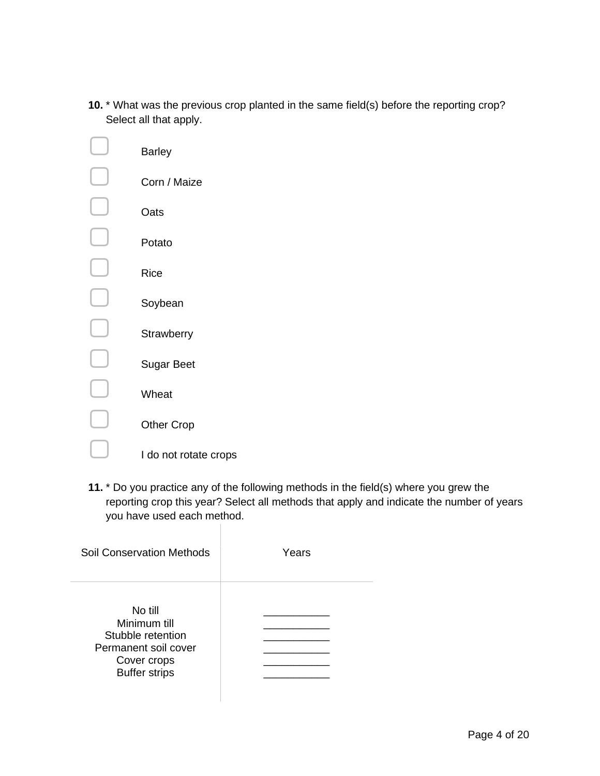**10.** \* What was the previous crop planted in the same field(s) before the reporting crop? Select all that apply.

| Barley                |
|-----------------------|
| Corn / Maize          |
| Oats                  |
| Potato                |
| Rice                  |
| Soybean               |
| Strawberry            |
| <b>Sugar Beet</b>     |
| Wheat                 |
| <b>Other Crop</b>     |
| I do not rotate crops |

**11.** \* Do you practice any of the following methods in the field(s) where you grew the reporting crop this year? Select all methods that apply and indicate the number of years you have used each method.

| Soil Conservation Methods                                                                                   | Years |
|-------------------------------------------------------------------------------------------------------------|-------|
| No till<br>Minimum till<br>Stubble retention<br>Permanent soil cover<br>Cover crops<br><b>Buffer strips</b> |       |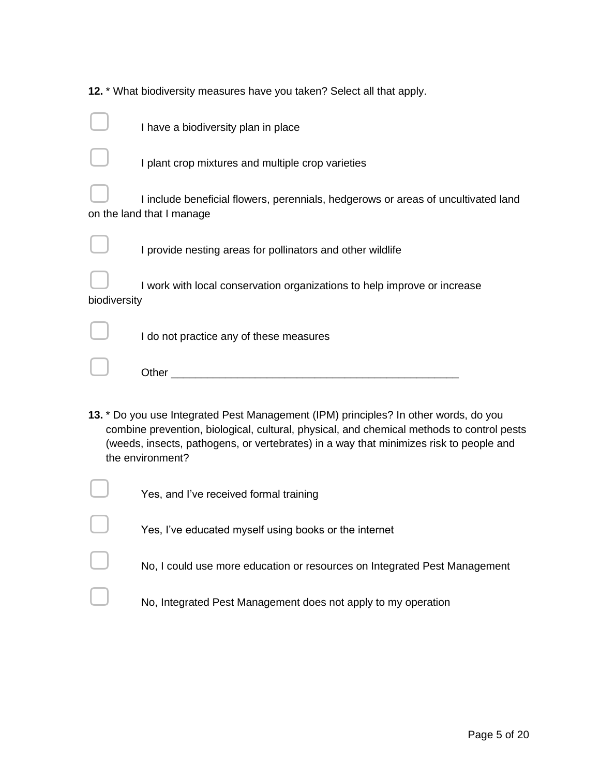|              | 12. * What biodiversity measures have you taken? Select all that apply.                                                                                                                                                                                                                         |
|--------------|-------------------------------------------------------------------------------------------------------------------------------------------------------------------------------------------------------------------------------------------------------------------------------------------------|
|              | I have a biodiversity plan in place                                                                                                                                                                                                                                                             |
|              | I plant crop mixtures and multiple crop varieties                                                                                                                                                                                                                                               |
|              | I include beneficial flowers, perennials, hedgerows or areas of uncultivated land<br>on the land that I manage                                                                                                                                                                                  |
|              | I provide nesting areas for pollinators and other wildlife                                                                                                                                                                                                                                      |
| biodiversity | I work with local conservation organizations to help improve or increase                                                                                                                                                                                                                        |
|              | I do not practice any of these measures                                                                                                                                                                                                                                                         |
|              | Other <u>with the contract of the contract of the contract of the contract of the contract of the contract of the contract of the contract of the contract of the contract of the contract of the contract of the contract of th</u>                                                            |
|              | 13. * Do you use Integrated Pest Management (IPM) principles? In other words, do you<br>combine prevention, biological, cultural, physical, and chemical methods to control pests<br>(weeds, insects, pathogens, or vertebrates) in a way that minimizes risk to people and<br>the environment? |
|              | Yes, and I've received formal training                                                                                                                                                                                                                                                          |
|              | Yes, I've educated myself using books or the internet                                                                                                                                                                                                                                           |
|              | No, I could use more education or resources on Integrated Pest Management                                                                                                                                                                                                                       |
|              |                                                                                                                                                                                                                                                                                                 |

 $\Box$  No, Integrated Pest Management does not apply to my operation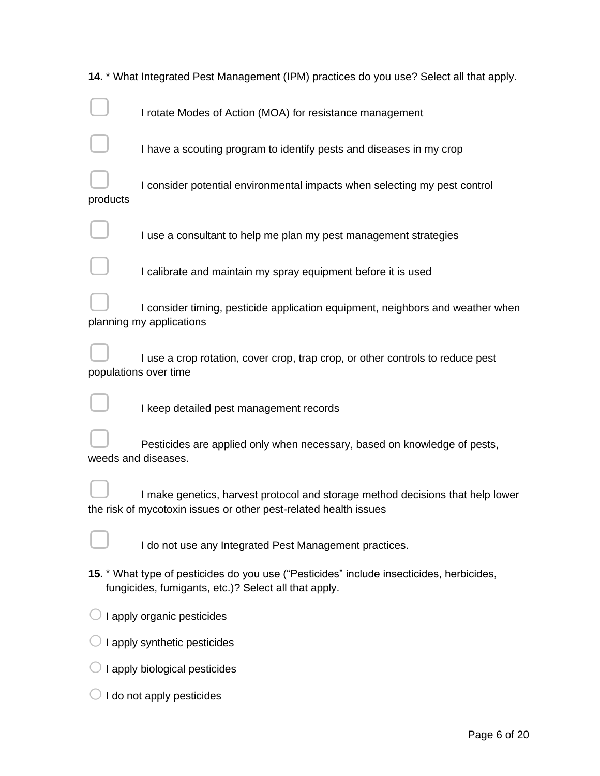|          | 14. * What Integrated Pest Management (IPM) practices do you use? Select all that apply.                                                           |
|----------|----------------------------------------------------------------------------------------------------------------------------------------------------|
|          | I rotate Modes of Action (MOA) for resistance management                                                                                           |
|          | I have a scouting program to identify pests and diseases in my crop                                                                                |
| products | I consider potential environmental impacts when selecting my pest control                                                                          |
|          | I use a consultant to help me plan my pest management strategies                                                                                   |
|          | I calibrate and maintain my spray equipment before it is used                                                                                      |
|          | I consider timing, pesticide application equipment, neighbors and weather when<br>planning my applications                                         |
|          | I use a crop rotation, cover crop, trap crop, or other controls to reduce pest<br>populations over time                                            |
|          | I keep detailed pest management records                                                                                                            |
|          | Pesticides are applied only when necessary, based on knowledge of pests,<br>weeds and diseases.                                                    |
|          | I make genetics, harvest protocol and storage method decisions that help lower<br>the risk of mycotoxin issues or other pest-related health issues |
|          | I do not use any Integrated Pest Management practices.                                                                                             |
|          | 15. * What type of pesticides do you use ("Pesticides" include insecticides, herbicides,<br>fungicides, fumigants, etc.)? Select all that apply.   |
|          | I apply organic pesticides                                                                                                                         |
|          | I apply synthetic pesticides                                                                                                                       |
|          | I apply biological pesticides                                                                                                                      |
|          | I do not apply pesticides                                                                                                                          |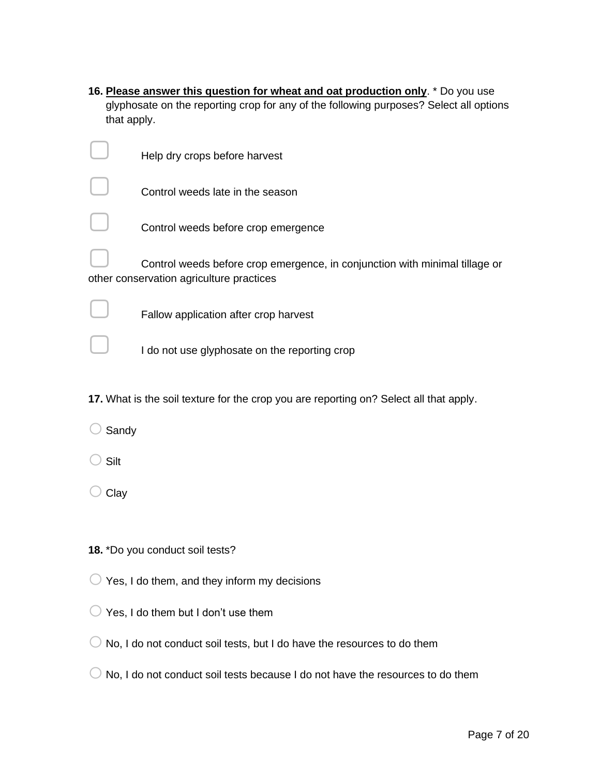| 16. Please answer this question for wheat and oat production only. * Do you use        |
|----------------------------------------------------------------------------------------|
| glyphosate on the reporting crop for any of the following purposes? Select all options |
| that apply.                                                                            |

|       | Help dry crops before harvest                                                                                           |
|-------|-------------------------------------------------------------------------------------------------------------------------|
|       | Control weeds late in the season                                                                                        |
|       | Control weeds before crop emergence                                                                                     |
|       | Control weeds before crop emergence, in conjunction with minimal tillage or<br>other conservation agriculture practices |
|       | Fallow application after crop harvest                                                                                   |
|       | I do not use glyphosate on the reporting crop                                                                           |
|       | 17. What is the soil texture for the crop you are reporting on? Select all that apply.                                  |
| Sandy |                                                                                                                         |
| Silt  |                                                                                                                         |
| Clay  |                                                                                                                         |
|       |                                                                                                                         |
|       | 18. *Do you conduct soil tests?                                                                                         |
|       | Yes, I do them, and they inform my decisions                                                                            |
|       | Yes, I do them but I don't use them                                                                                     |
|       | No, I do not conduct soil tests, but I do have the resources to do them                                                 |
|       | No, I do not conduct soil tests because I do not have the resources to do them                                          |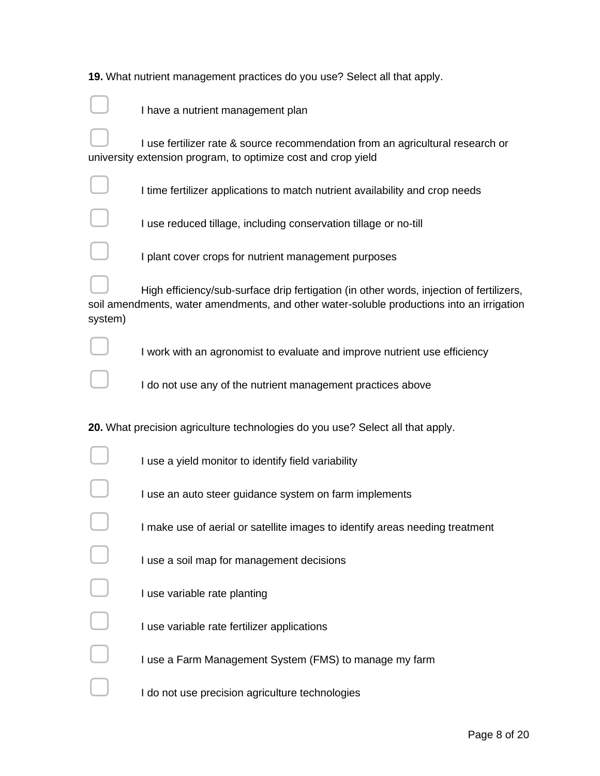| 19. What nutrient management practices do you use? Select all that apply. |  |  |
|---------------------------------------------------------------------------|--|--|
|                                                                           |  |  |

|         | I have a nutrient management plan                                                                                                                                                    |
|---------|--------------------------------------------------------------------------------------------------------------------------------------------------------------------------------------|
|         | I use fertilizer rate & source recommendation from an agricultural research or<br>university extension program, to optimize cost and crop yield                                      |
|         | I time fertilizer applications to match nutrient availability and crop needs                                                                                                         |
|         | I use reduced tillage, including conservation tillage or no-till                                                                                                                     |
|         | I plant cover crops for nutrient management purposes                                                                                                                                 |
| system) | High efficiency/sub-surface drip fertigation (in other words, injection of fertilizers,<br>soil amendments, water amendments, and other water-soluble productions into an irrigation |
|         | I work with an agronomist to evaluate and improve nutrient use efficiency                                                                                                            |
|         | I do not use any of the nutrient management practices above                                                                                                                          |
|         | 20. What precision agriculture technologies do you use? Select all that apply.                                                                                                       |
|         | I use a yield monitor to identify field variability                                                                                                                                  |
|         | I use an auto steer guidance system on farm implements                                                                                                                               |
|         | I make use of aerial or satellite images to identify areas needing treatment                                                                                                         |
|         | I use a soil map for management decisions                                                                                                                                            |
|         | I use variable rate planting                                                                                                                                                         |
|         | I use variable rate fertilizer applications                                                                                                                                          |
|         | I use a Farm Management System (FMS) to manage my farm                                                                                                                               |
|         | I do not use precision agriculture technologies                                                                                                                                      |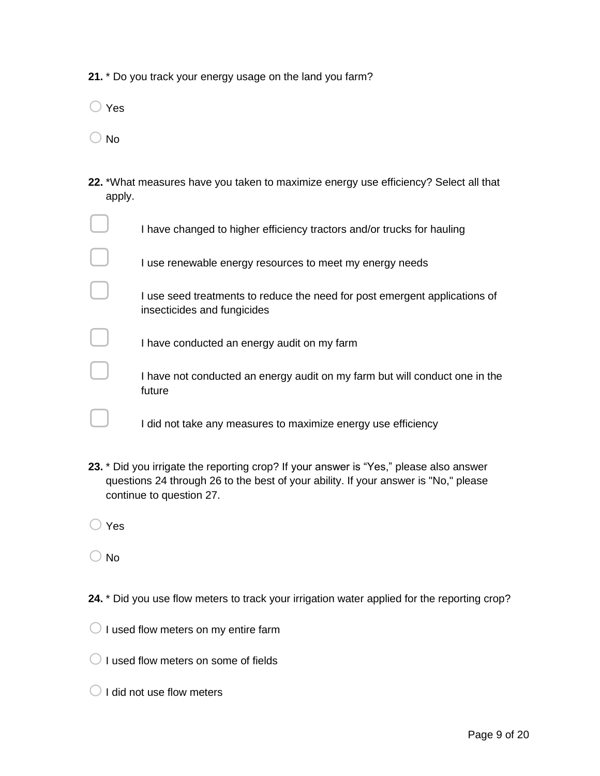- **21.** \* Do you track your energy usage on the land you farm?
- $\bigcirc$  Yes
- $\bigcirc$  No
- **22.** \*What measures have you taken to maximize energy use efficiency? Select all that apply.

| I have changed to higher efficiency tractors and/or trucks for hauling                                    |
|-----------------------------------------------------------------------------------------------------------|
| I use renewable energy resources to meet my energy needs                                                  |
| I use seed treatments to reduce the need for post emergent applications of<br>insecticides and fungicides |
| I have conducted an energy audit on my farm                                                               |
| I have not conducted an energy audit on my farm but will conduct one in the<br>future                     |
| I did not take any measures to maximize energy use efficiency                                             |

- **23.** \* Did you irrigate the reporting crop? If your answer is "Yes," please also answer questions 24 through 26 to the best of your ability. If your answer is "No," please continue to question 27.
- $\bigcirc$  Yes
- $\bigcirc$  No
- 24. \* Did you use flow meters to track your irrigation water applied for the reporting crop?
- $\bigcirc$  I used flow meters on my entire farm
- $\bigcirc$  I used flow meters on some of fields
- $\bigcirc$  I did not use flow meters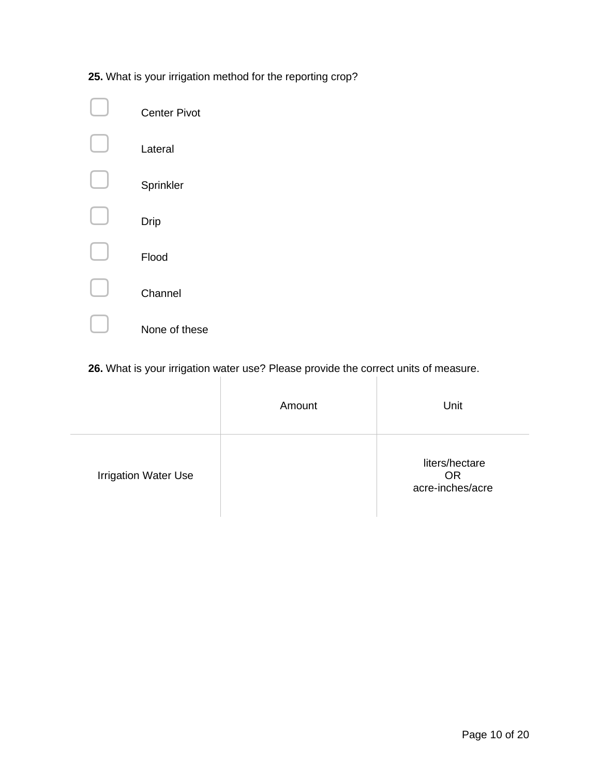**25.** What is your irrigation method for the reporting crop?

| <b>Center Pivot</b> |
|---------------------|
| Lateral             |
| Sprinkler           |
| Drip                |
| Flood               |
| Channel             |
| None of these       |

**26.** What is your irrigation water use? Please provide the correct units of measure.

|                             | Amount | Unit                                            |
|-----------------------------|--------|-------------------------------------------------|
| <b>Irrigation Water Use</b> |        | liters/hectare<br><b>OR</b><br>acre-inches/acre |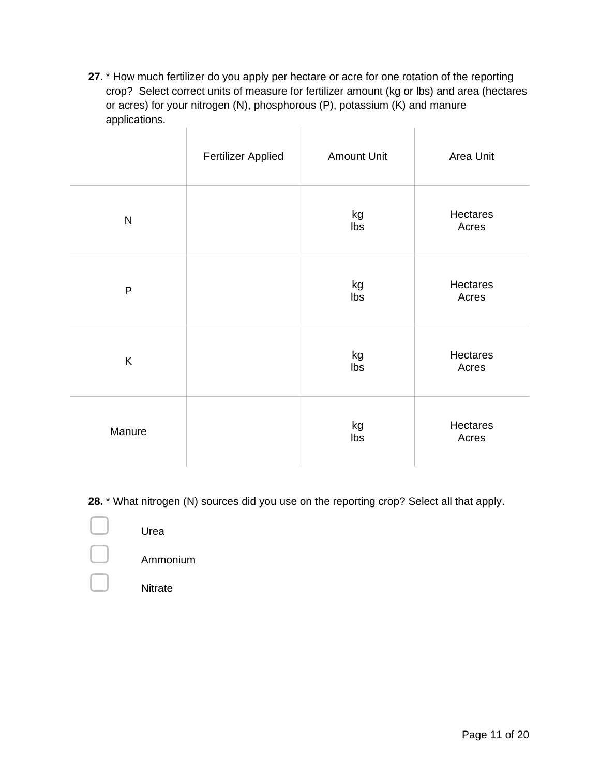**27.** \* How much fertilizer do you apply per hectare or acre for one rotation of the reporting crop? Select correct units of measure for fertilizer amount (kg or lbs) and area (hectares or acres) for your nitrogen (N), phosphorous (P), potassium (K) and manure applications.  $\mathbb{R}^2$  $\mathbb{R}^n$  and  $\mathbb{R}^n$  are  $\mathbb{R}^n$ 

|           | <b>Fertilizer Applied</b> | <b>Amount Unit</b> | Area Unit         |
|-----------|---------------------------|--------------------|-------------------|
| ${\sf N}$ |                           | kg<br>Ibs          | Hectares<br>Acres |
| ${\sf P}$ |                           | kg<br>Ibs          | Hectares<br>Acres |
| K         |                           | kg<br>Ibs          | Hectares<br>Acres |
| Manure    |                           | kg<br>Ibs          | Hectares<br>Acres |

**28.** \* What nitrogen (N) sources did you use on the reporting crop? Select all that apply.

 $\Box$  Urea ▢ Ammonium **Nitrate**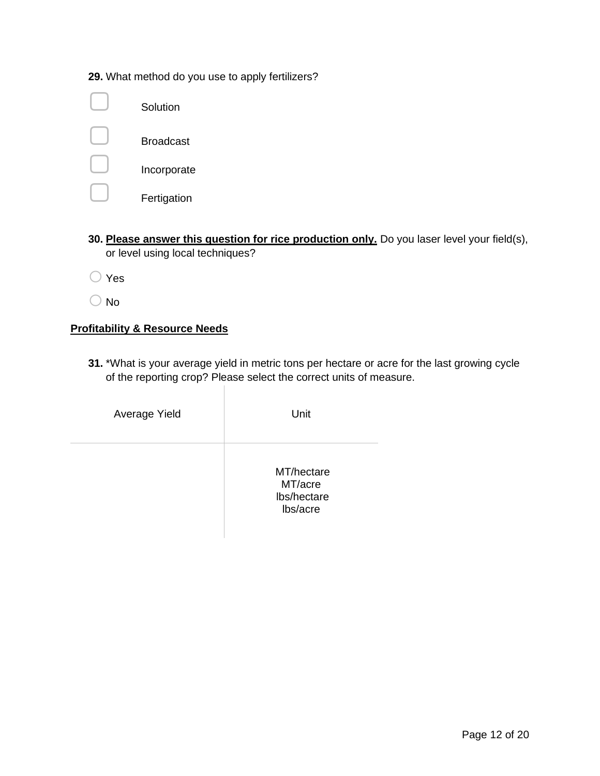**29.** What method do you use to apply fertilizers?

| Solution         |
|------------------|
| <b>Broadcast</b> |
| Incorporate      |
| Fertigation      |

- **30. Please answer this question for rice production only.** Do you laser level your field(s), or level using local techniques?
- $\bigcirc$  Yes
- $\bigcirc$  No

# **Profitability & Resource Needs**

**31.** \*What is your average yield in metric tons per hectare or acre for the last growing cycle of the reporting crop? Please select the correct units of measure.

| Average Yield | Unit                                             |
|---------------|--------------------------------------------------|
|               | MT/hectare<br>MT/acre<br>lbs/hectare<br>lbs/acre |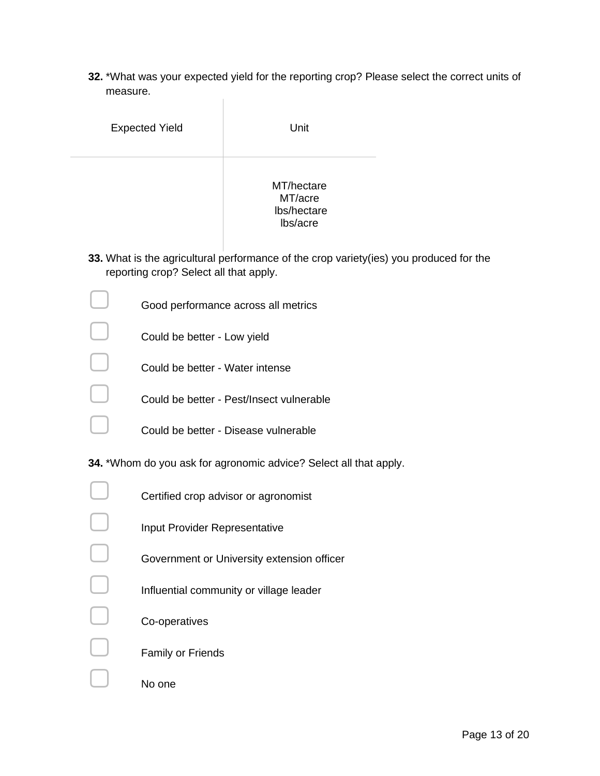**32.** \*What was your expected yield for the reporting crop? Please select the correct units of measure.

| <b>Expected Yield</b> | Unit                                             |
|-----------------------|--------------------------------------------------|
|                       | MT/hectare<br>MT/acre<br>lbs/hectare<br>lbs/acre |

 $\mathbb{R}$ 

**33.** What is the agricultural performance of the crop variety(ies) you produced for the reporting crop? Select all that apply.

| Good performance across all metrics      |
|------------------------------------------|
| Could be better - Low yield              |
| Could be better - Water intense          |
| Could be better - Pest/Insect vulnerable |
| Could be better - Disease vulnerable     |

**34.** \*Whom do you ask for agronomic advice? Select all that apply.

| Certified crop advisor or agronomist       |
|--------------------------------------------|
| Input Provider Representative              |
| Government or University extension officer |
| Influential community or village leader    |
| Co-operatives                              |
| <b>Family or Friends</b>                   |
| No one                                     |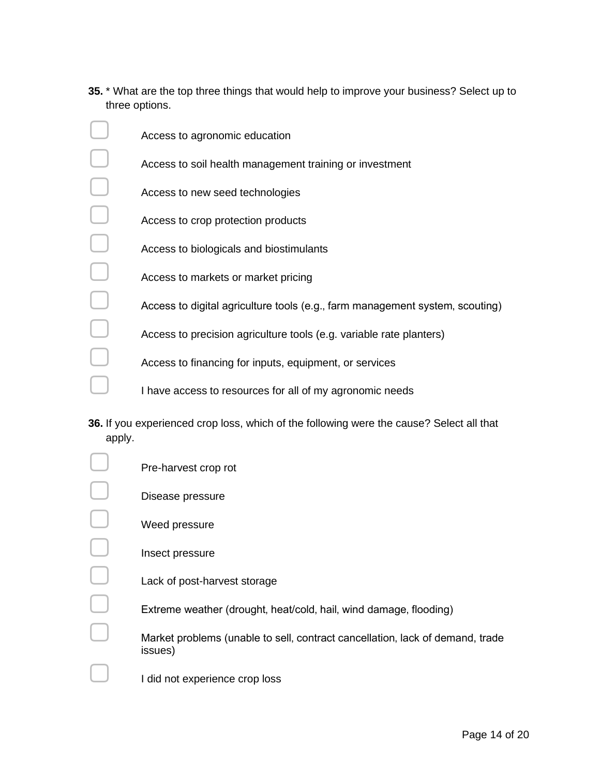**35.** \* What are the top three things that would help to improve your business? Select up to three options.

| Access to agronomic education                                                |
|------------------------------------------------------------------------------|
| Access to soil health management training or investment                      |
| Access to new seed technologies                                              |
| Access to crop protection products                                           |
| Access to biologicals and biostimulants                                      |
| Access to markets or market pricing                                          |
| Access to digital agriculture tools (e.g., farm management system, scouting) |
| Access to precision agriculture tools (e.g. variable rate planters)          |
| Access to financing for inputs, equipment, or services                       |
| I have access to resources for all of my agronomic needs                     |

**36.** If you experienced crop loss, which of the following were the cause? Select all that apply.

| Pre-harvest crop rot                                                                     |
|------------------------------------------------------------------------------------------|
| Disease pressure                                                                         |
| Weed pressure                                                                            |
| Insect pressure                                                                          |
| Lack of post-harvest storage                                                             |
| Extreme weather (drought, heat/cold, hail, wind damage, flooding)                        |
|                                                                                          |
| Market problems (unable to sell, contract cancellation, lack of demand, trade<br>issues) |
| I did not experience crop loss                                                           |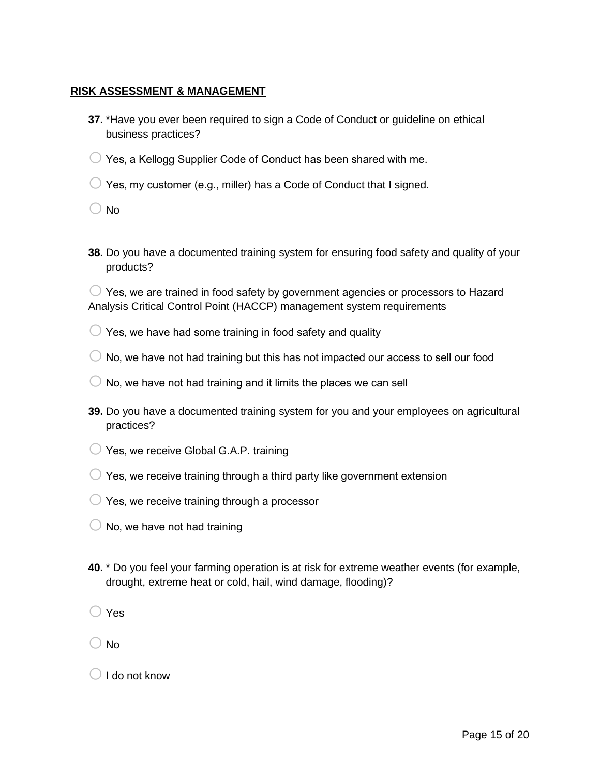#### **RISK ASSESSMENT & MANAGEMENT**

- **37.** \*Have you ever been required to sign a Code of Conduct or guideline on ethical business practices?
- $\bigcirc$  Yes, a Kellogg Supplier Code of Conduct has been shared with me.
- $\bigcirc$  Yes, my customer (e.g., miller) has a Code of Conduct that I signed.

 $\bigcirc$  No

**38.** Do you have a documented training system for ensuring food safety and quality of your products?

 $\bigcirc$  Yes, we are trained in food safety by government agencies or processors to Hazard Analysis Critical Control Point (HACCP) management system requirements

- $\bigcirc$  Yes, we have had some training in food safety and quality
- $\bigcirc$  No, we have not had training but this has not impacted our access to sell our food
- $\bigcirc$  No, we have not had training and it limits the places we can sell
- **39.** Do you have a documented training system for you and your employees on agricultural practices?
- $\bigcirc$  Yes, we receive Global G.A.P. training
- $\bigcirc$  Yes, we receive training through a third party like government extension
- $\bigcirc$  Yes, we receive training through a processor
- $\bigcirc$  No, we have not had training
- **40.** \* Do you feel your farming operation is at risk for extreme weather events (for example, drought, extreme heat or cold, hail, wind damage, flooding)?

 $\bigcirc$  Yes

 $\bigcirc$  No

 $\bigcirc$  I do not know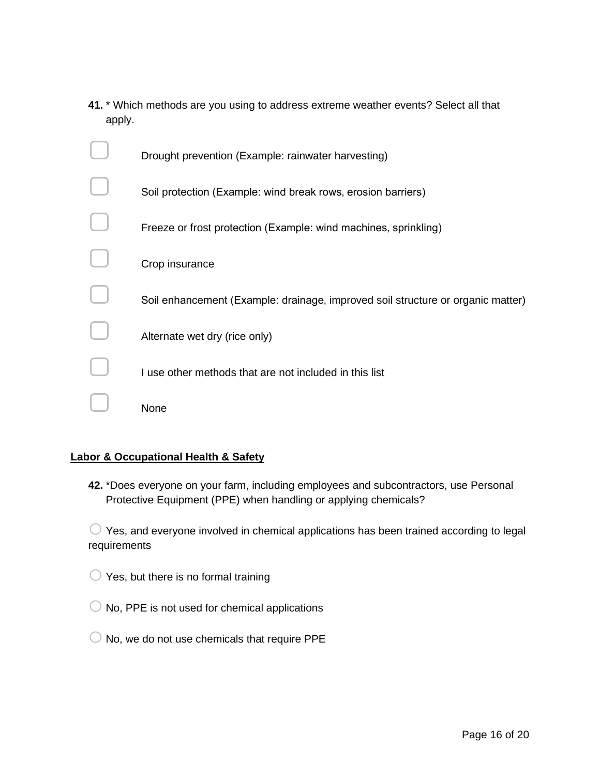**41.** \* Which methods are you using to address extreme weather events? Select all that apply.

| Drought prevention (Example: rainwater harvesting)                              |
|---------------------------------------------------------------------------------|
| Soil protection (Example: wind break rows, erosion barriers)                    |
| Freeze or frost protection (Example: wind machines, sprinkling)                 |
| Crop insurance                                                                  |
| Soil enhancement (Example: drainage, improved soil structure or organic matter) |
| Alternate wet dry (rice only)                                                   |
| I use other methods that are not included in this list                          |
| None                                                                            |

# **Labor & Occupational Health & Safety**

**42.** \*Does everyone on your farm, including employees and subcontractors, use Personal Protective Equipment (PPE) when handling or applying chemicals?

 $\bigcirc$  Yes, and everyone involved in chemical applications has been trained according to legal requirements

 $\bigcirc$  Yes, but there is no formal training

- $\bigcirc$  No, PPE is not used for chemical applications
- $\bigcirc$  No, we do not use chemicals that require PPE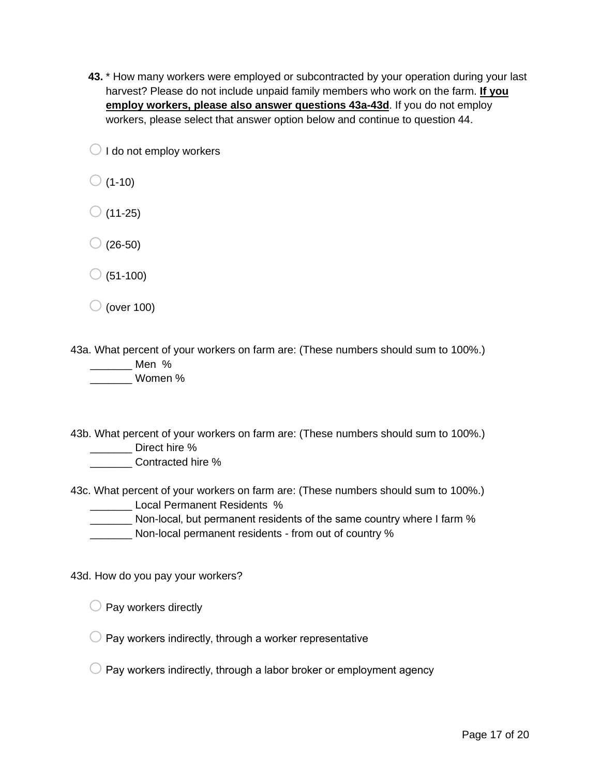**43.** \* How many workers were employed or subcontracted by your operation during your last harvest? Please do not include unpaid family members who work on the farm. **If you employ workers, please also answer questions 43a-43d**. If you do not employ workers, please select that answer option below and continue to question 44.

 $\bigcirc$  I do not employ workers

- $\bigcirc$  (1-10)
- $\bigcirc$  (11-25)
- $\bigcirc$  (26-50)
- $\bigcirc$  (51-100)
- $\bigcirc$  (over 100)

43a. What percent of your workers on farm are: (These numbers should sum to 100%.)

\_\_\_\_\_\_\_ Men % \_\_\_\_\_\_\_ Women %

43b. What percent of your workers on farm are: (These numbers should sum to 100%.) \_\_\_\_\_\_\_ Direct hire %

\_\_\_\_\_\_\_ Contracted hire %

43c. What percent of your workers on farm are: (These numbers should sum to 100%.) **Local Permanent Residents %** 

Non-local, but permanent residents of the same country where I farm %

\_\_\_\_\_\_\_ Non-local permanent residents - from out of country %

43d. How do you pay your workers?

 $\bigcirc$  Pay workers directly

 $\bigcirc$  Pay workers indirectly, through a worker representative

 $\bigcirc$  Pay workers indirectly, through a labor broker or employment agency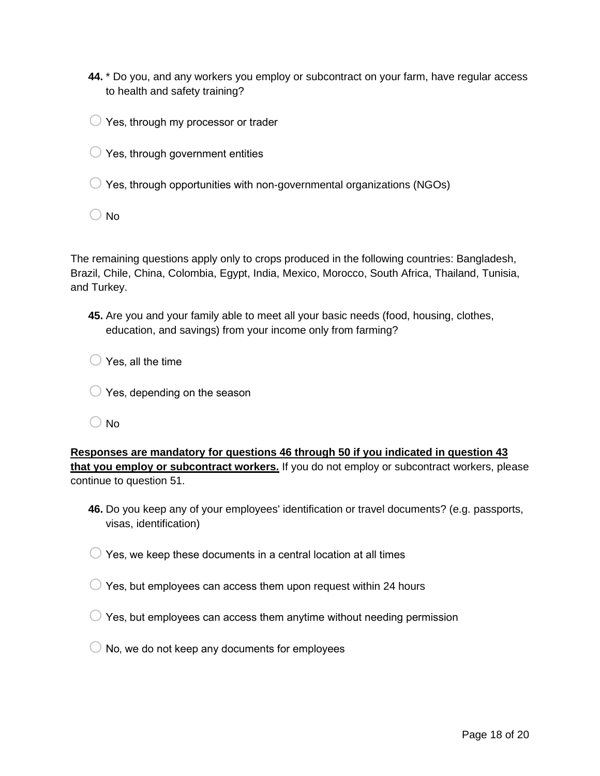- **44.** \* Do you, and any workers you employ or subcontract on your farm, have regular access to health and safety training?
- $\bigcirc$  Yes, through my processor or trader
- $\bigcirc$  Yes, through government entities
- $\bigcirc$  Yes, through opportunities with non-governmental organizations (NGOs)
- $\bigcirc$  No

The remaining questions apply only to crops produced in the following countries: Bangladesh, Brazil, Chile, China, Colombia, Egypt, India, Mexico, Morocco, South Africa, Thailand, Tunisia, and Turkey.

**45.** Are you and your family able to meet all your basic needs (food, housing, clothes, education, and savings) from your income only from farming?

 $\bigcirc$  Yes, all the time

- $\bigcirc$  Yes, depending on the season
- $\bigcirc$  No

**Responses are mandatory for questions 46 through 50 if you indicated in question 43 that you employ or subcontract workers.** If you do not employ or subcontract workers, please continue to question 51.

- **46.** Do you keep any of your employees' identification or travel documents? (e.g. passports, visas, identification)
- $\bigcirc$  Yes. we keep these documents in a central location at all times
- $\bigcirc$  Yes, but employees can access them upon request within 24 hours
- $\bigcirc$  Yes, but employees can access them anytime without needing permission
- $\bigcirc$  No, we do not keep any documents for employees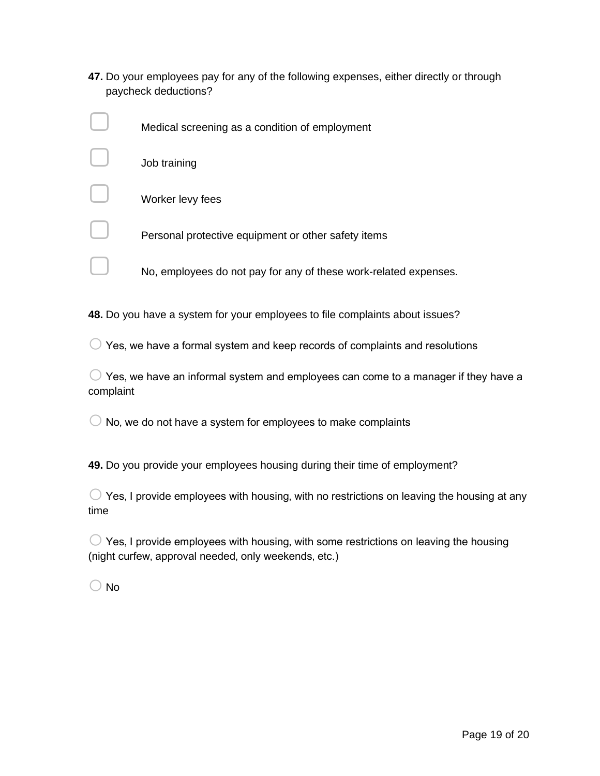**47.** Do your employees pay for any of the following expenses, either directly or through paycheck deductions?

| Medical screening as a condition of employment                   |
|------------------------------------------------------------------|
| Job training                                                     |
| Worker levy fees                                                 |
| Personal protective equipment or other safety items              |
| No, employees do not pay for any of these work-related expenses. |

**48.** Do you have a system for your employees to file complaints about issues?

 $\bigcirc$  Yes, we have a formal system and keep records of complaints and resolutions

 $\bigcirc$  Yes, we have an informal system and employees can come to a manager if they have a complaint

 $\bigcirc$  No, we do not have a system for employees to make complaints

**49.** Do you provide your employees housing during their time of employment?

 $\bigcirc$  Yes, I provide employees with housing, with no restrictions on leaving the housing at any time

 $\bigcirc$  Yes, I provide employees with housing, with some restrictions on leaving the housing (night curfew, approval needed, only weekends, etc.)

 $\bigcirc$  No